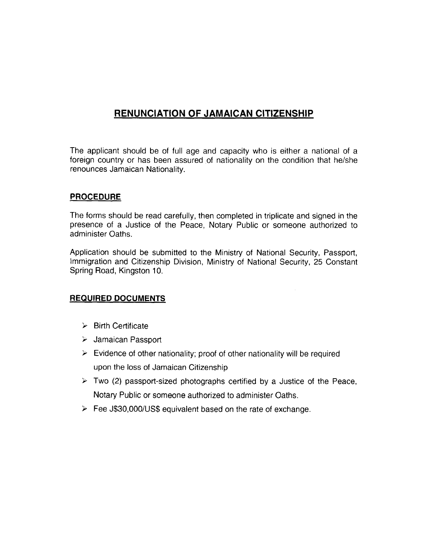# **RENUNCIATION OF JAMAICAN CITIZENSHIP**

The applicant should be of full age and capacity who is either a national of a foreign country or has been assured of nationality on the condition that he/she renounces Jamaican Nationality.

## **PROCEDURE**

The forms should be read carefully, then completed in triplicate and signed in the presence of a Justice of the Peace, Notary Public or someone authorized to administer Oaths.

Application should be submitted to the Ministry of National Security, Passport, lmmigration and Citizenship Division, Ministry of National Security, 25 Constant Spring Road, Kingston 10.

### REQUIRED DOCUMENTS

- $\triangleright$  Birth Certificate
- > Jamaican Passport
- $\triangleright$  Evidence of other nationality; proof of other nationality will be required upon the loss of Jamaican Citizenship
- $\triangleright$  Two (2) passport-sized photographs certified by a Justice of the Peace, Notary Public or someone authorized to administer Oaths.
- Fee J\$30,000/US\$ equivalent based on the rate of exchange.